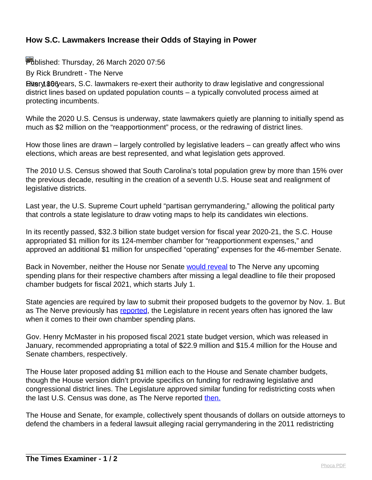## **How S.C. Lawmakers Increase their Odds of Staying in Power**

Published: Thursday, 26 March 2020 07:56

By Rick Brundrett - The Nerve

Hitery 806 ears, S.C. lawmakers re-exert their authority to draw legislative and congressional district lines based on updated population counts – a typically convoluted process aimed at protecting incumbents.

While the 2020 U.S. Census is underway, state lawmakers quietly are planning to initially spend as much as \$2 million on the "reapportionment" process, or the redrawing of district lines.

How those lines are drawn – largely controlled by legislative leaders – can greatly affect who wins elections, which areas are best represented, and what legislation gets approved.

The 2010 U.S. Census showed that South Carolina's total population grew by more than 15% over the previous decade, resulting in the creation of a seventh U.S. House seat and realignment of legislative districts.

Last year, the U.S. Supreme Court upheld "partisan gerrymandering," allowing the political party that controls a state legislature to draw voting maps to help its candidates win elections.

In its recently passed, \$32.3 billion state budget version for fiscal year 2020-21, the S.C. House appropriated \$1 million for its 124-member chamber for "reapportionment expenses," and approved an additional \$1 million for unspecified "operating" expenses for the 46-member Senate.

Back in November, neither the House nor Senate [would reveal](https://thenerve.org/s-c-legislature-secretive-when-it-comes-to-chamber-spending-plans/) to The Nerve any upcoming spending plans for their respective chambers after missing a legal deadline to file their proposed chamber budgets for fiscal 2021, which starts July 1.

State agencies are required by law to submit their proposed budgets to the governor by Nov. 1. But as The Nerve previously has [reported,](https://thenerve.org/legislature-again-ignores-budget-law/) the Legislature in recent years often has ignored the law when it comes to their own chamber spending plans.

Gov. Henry McMaster in his proposed fiscal 2021 state budget version, which was released in January, recommended appropriating a total of \$22.9 million and \$15.4 million for the House and Senate chambers, respectively.

The House later proposed adding \$1 million each to the House and Senate chamber budgets, though the House version didn't provide specifics on funding for redrawing legislative and congressional district lines. The Legislature approved similar funding for redistricting costs when the last U.S. Census was done, as The Nerve reported [then.](https://thenerve.org/state-agencies-budgets-grew-in-fy-10/)

The House and Senate, for example, collectively spent thousands of dollars on outside attorneys to defend the chambers in a federal lawsuit alleging racial gerrymandering in the 2011 redistricting